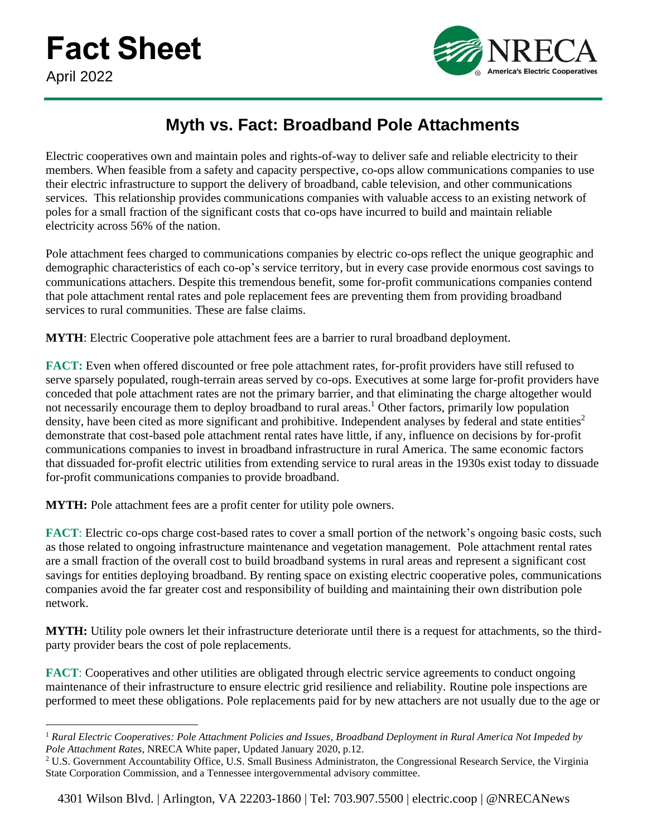

## **Myth vs. Fact: Broadband Pole Attachments**

Electric cooperatives own and maintain poles and rights-of-way to deliver safe and reliable electricity to their members. When feasible from a safety and capacity perspective, co-ops allow communications companies to use their electric infrastructure to support the delivery of broadband, cable television, and other communications services. This relationship provides communications companies with valuable access to an existing network of poles for a small fraction of the significant costs that co-ops have incurred to build and maintain reliable electricity across 56% of the nation.

Pole attachment fees charged to communications companies by electric co-ops reflect the unique geographic and demographic characteristics of each co-op's service territory, but in every case provide enormous cost savings to communications attachers. Despite this tremendous benefit, some for-profit communications companies contend that pole attachment rental rates and pole replacement fees are preventing them from providing broadband services to rural communities. These are false claims.

**MYTH**: Electric Cooperative pole attachment fees are a barrier to rural broadband deployment.

**FACT:** Even when offered discounted or free pole attachment rates, for-profit providers have still refused to serve sparsely populated, rough-terrain areas served by co-ops. Executives at some large for-profit providers have conceded that pole attachment rates are not the primary barrier, and that eliminating the charge altogether would not necessarily encourage them to deploy broadband to rural areas.<sup>1</sup> Other factors, primarily low population density, have been cited as more significant and prohibitive. Independent analyses by federal and state entities<sup>2</sup> demonstrate that cost-based pole attachment rental rates have little, if any, influence on decisions by for-profit communications companies to invest in broadband infrastructure in rural America. The same economic factors that dissuaded for-profit electric utilities from extending service to rural areas in the 1930s exist today to dissuade for-profit communications companies to provide broadband.

**MYTH:** Pole attachment fees are a profit center for utility pole owners.

**FACT**: Electric co-ops charge cost-based rates to cover a small portion of the network's ongoing basic costs, such as those related to ongoing infrastructure maintenance and vegetation management. Pole attachment rental rates are a small fraction of the overall cost to build broadband systems in rural areas and represent a significant cost savings for entities deploying broadband. By renting space on existing electric cooperative poles, communications companies avoid the far greater cost and responsibility of building and maintaining their own distribution pole network.

**MYTH:** Utility pole owners let their infrastructure deteriorate until there is a request for attachments, so the thirdparty provider bears the cost of pole replacements.

**FACT**: Cooperatives and other utilities are obligated through electric service agreements to conduct ongoing maintenance of their infrastructure to ensure electric grid resilience and reliability. Routine pole inspections are performed to meet these obligations. Pole replacements paid for by new attachers are not usually due to the age or

<sup>1</sup> *Rural Electric Cooperatives: Pole Attachment Policies and Issues, Broadband Deployment in Rural America Not Impeded by Pole Attachment Rates*, NRECA White paper, Updated January 2020, p.12.

 $2 \text{ U.S. Government Accountability Office, U.S. Small Business Administration, the Congressional Research Service, the Virginia$ State Corporation Commission, and a Tennessee intergovernmental advisory committee.